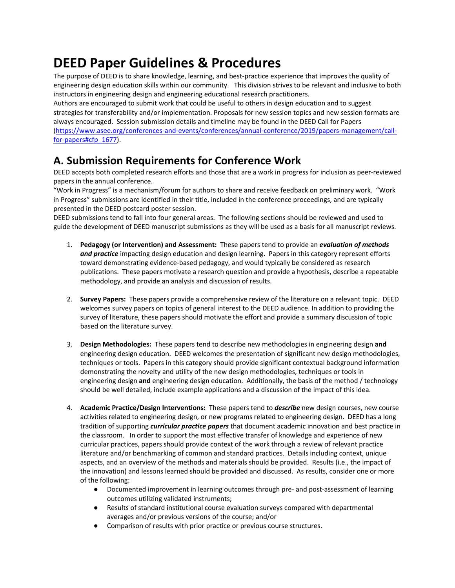# **DEED Paper Guidelines & Procedures**

The purpose of DEED is to share knowledge, learning, and best-practice experience that improves the quality of engineering design education skills within our community. This division strives to be relevant and inclusive to both instructors in engineering design and engineering educational research practitioners.

Authors are encouraged to submit work that could be useful to others in design education and to suggest strategies for transferability and/or implementation. Proposals for new session topics and new session formats are always encouraged. Session submission details and timeline may be found in the DEED Call for Papers [\(https://www.asee.org/conferences-and-events/conferences/annual-conference/2019/papers-management/call](https://www.asee.org/conferences-and-events/conferences/annual-conference/2019/papers-management/call-for-papers#cfp_1677)[for-papers#cfp\\_1677\)](https://www.asee.org/conferences-and-events/conferences/annual-conference/2019/papers-management/call-for-papers#cfp_1677).

# **A. Submission Requirements for Conference Work**

DEED accepts both completed research efforts and those that are a work in progress for inclusion as peer-reviewed papers in the annual conference.

"Work in Progress" is a mechanism/forum for authors to share and receive feedback on preliminary work. "Work in Progress" submissions are identified in their title, included in the conference proceedings, and are typically presented in the DEED postcard poster session.

DEED submissions tend to fall into four general areas. The following sections should be reviewed and used to guide the development of DEED manuscript submissions as they will be used as a basis for all manuscript reviews.

- 1. **Pedagogy (or Intervention) and Assessment:** These papers tend to provide an *evaluation of methods and practice* impacting design education and design learning. Papers in this category represent efforts toward demonstrating evidence-based pedagogy, and would typically be considered as research publications. These papers motivate a research question and provide a hypothesis, describe a repeatable methodology, and provide an analysis and discussion of results.
- 2. **Survey Papers:** These papers provide a comprehensive review of the literature on a relevant topic. DEED welcomes survey papers on topics of general interest to the DEED audience. In addition to providing the survey of literature, these papers should motivate the effort and provide a summary discussion of topic based on the literature survey.
- 3. **Design Methodologies:** These papers tend to describe new methodologies in engineering design **and** engineering design education. DEED welcomes the presentation of significant new design methodologies, techniques or tools. Papers in this category should provide significant contextual background information demonstrating the novelty and utility of the new design methodologies, techniques or tools in engineering design **and** engineering design education. Additionally, the basis of the method / technology should be well detailed, include example applications and a discussion of the impact of this idea.
- 4. **Academic Practice/Design Interventions:** These papers tend to *describe* new design courses, new course activities related to engineering design, or new programs related to engineering design.DEED has a long tradition of supporting *curricular practice papers* that document academic innovation and best practice in the classroom. In order to support the most effective transfer of knowledge and experience of new curricular practices, papers should provide context of the work through a review of relevant practice literature and/or benchmarking of common and standard practices. Details including context, unique aspects, and an overview of the methods and materials should be provided. Results (i.e., the impact of the innovation) and lessons learned should be provided and discussed. As results, consider one or more of the following:
	- Documented improvement in learning outcomes through pre- and post-assessment of learning outcomes utilizing validated instruments;
	- Results of standard institutional course evaluation surveys compared with departmental averages and/or previous versions of the course; and/or
	- Comparison of results with prior practice or previous course structures.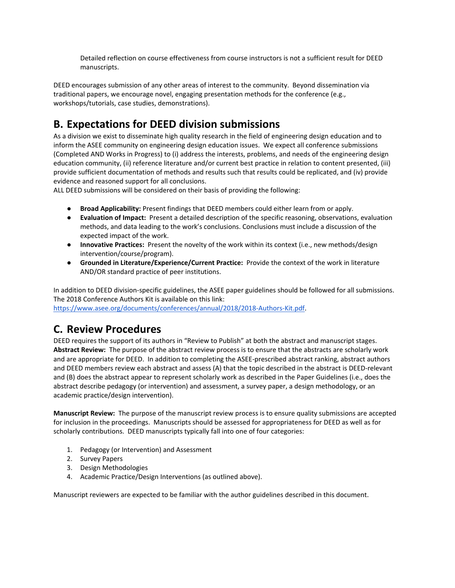Detailed reflection on course effectiveness from course instructors is not a sufficient result for DEED manuscripts.

DEED encourages submission of any other areas of interest to the community. Beyond dissemination via traditional papers, we encourage novel, engaging presentation methods for the conference (e.g., workshops/tutorials, case studies, demonstrations).

### **B. Expectations for DEED division submissions**

As a division we exist to disseminate high quality research in the field of engineering design education and to inform the ASEE community on engineering design education issues. We expect all conference submissions (Completed AND Works in Progress) to (i) address the interests, problems, and needs of the engineering design education community, (ii) reference literature and/or current best practice in relation to content presented, (iii) provide sufficient documentation of methods and results such that results could be replicated, and (iv) provide evidence and reasoned support for all conclusions.

ALL DEED submissions will be considered on their basis of providing the following:

- **Broad Applicability:** Present findings that DEED members could either learn from or apply.
- **Evaluation of Impact:** Present a detailed description of the specific reasoning, observations, evaluation methods, and data leading to the work's conclusions. Conclusions must include a discussion of the expected impact of the work.
- **Innovative Practices:** Present the novelty of the work within its context (i.e., new methods/design intervention/course/program).
- **Grounded in Literature/Experience/Current Practice:** Provide the context of the work in literature AND/OR standard practice of peer institutions.

In addition to DEED division-specific guidelines, the ASEE paper guidelines should be followed for all submissions. The 2018 Conference Authors Kit is available on this link:

[https://www.asee.org/documents/conferences/annual/2018/2018-Authors-Kit.pdf.](https://www.asee.org/documents/conferences/annual/2018/2018-Authors-Kit.pdf)

#### **C. Review Procedures**

DEED requires the support of its authors in "Review to Publish" at both the abstract and manuscript stages. **Abstract Review:** The purpose of the abstract review process is to ensure that the abstracts are scholarly work and are appropriate for DEED. In addition to completing the ASEE-prescribed abstract ranking, abstract authors and DEED members review each abstract and assess (A) that the topic described in the abstract is DEED-relevant and (B) does the abstract appear to represent scholarly work as described in the Paper Guidelines (i.e., does the abstract describe pedagogy (or intervention) and assessment, a survey paper, a design methodology, or an academic practice/design intervention).

**Manuscript Review:** The purpose of the manuscript review process is to ensure quality submissions are accepted for inclusion in the proceedings. Manuscripts should be assessed for appropriateness for DEED as well as for scholarly contributions. DEED manuscripts typically fall into one of four categories:

- 1. Pedagogy (or Intervention) and Assessment
- 2. Survey Papers
- 3. Design Methodologies
- 4. Academic Practice/Design Interventions (as outlined above).

Manuscript reviewers are expected to be familiar with the author guidelines described in this document.